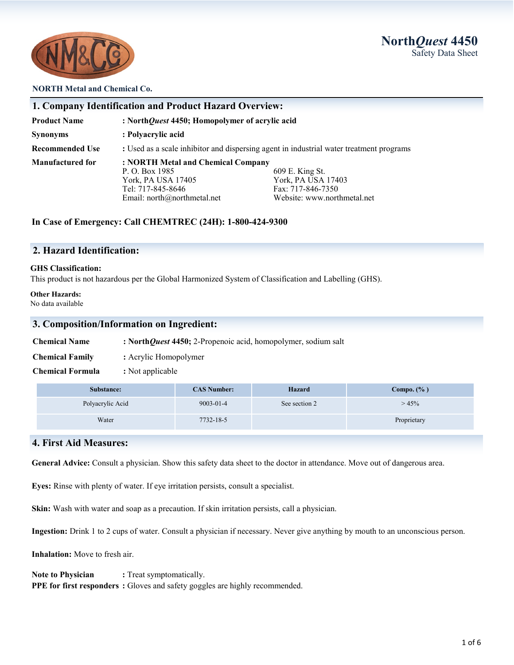**North***Quest* **4450** Safety Data Sheet



#### **NORTH Metal and Chemical Co.**

| 1. Company Identification and Product Hazard Overview: |                                                                                                                                                                                                                             |  |  |  |
|--------------------------------------------------------|-----------------------------------------------------------------------------------------------------------------------------------------------------------------------------------------------------------------------------|--|--|--|
| <b>Product Name</b>                                    | : NorthQuest 4450; Homopolymer of acrylic acid                                                                                                                                                                              |  |  |  |
| <b>Synonyms</b>                                        | : Polyacrylic acid                                                                                                                                                                                                          |  |  |  |
| <b>Recommended Use</b>                                 | : Used as a scale inhibitor and dispersing agent in industrial water treatment programs                                                                                                                                     |  |  |  |
| <b>Manufactured for</b>                                | : NORTH Metal and Chemical Company<br>609 E. King St.<br>P. O. Box 1985<br>York, PA USA 17403<br>York, PA USA 17405<br>Tel: 717-845-8646<br>Fax: 717-846-7350<br>Website: www.northmetal.net<br>Email: north@northmetal.net |  |  |  |

#### **In Case of Emergency: Call CHEMTREC (24H): 1-800-424-9300**

## **2. Hazard Identification:**

#### **GHS Classification:**

This product is not hazardous per the Global Harmonized System of Classification and Labelling (GHS).

#### **Other Hazards:**

No data available

## **3. Composition/Information on Ingredient:**

| <b>Chemical Name</b> |  | : NorthQuest 4450; 2-Propenoic acid, homopolymer, sodium salt |  |  |
|----------------------|--|---------------------------------------------------------------|--|--|
|----------------------|--|---------------------------------------------------------------|--|--|

**Chemical Family :** Acrylic Homopolymer

**Chemical Formula :** Not applicable

| Substance:       | <b>CAS Number:</b> | <b>Hazard</b> | Compo. $(\% )$ |
|------------------|--------------------|---------------|----------------|
| Polyacrylic Acid | $9003 - 01 - 4$    | See section 2 | >45%           |
| Water            | 7732-18-5          |               | Proprietary    |

## **4. First Aid Measures:**

**General Advice:** Consult a physician. Show this safety data sheet to the doctor in attendance. Move out of dangerous area.

**Eyes:** Rinse with plenty of water. If eye irritation persists, consult a specialist.

**Skin:** Wash with water and soap as a precaution. If skin irritation persists, call a physician.

**Ingestion:** Drink 1 to 2 cups of water. Consult a physician if necessary. Never give anything by mouth to an unconscious person.

**Inhalation:** Move to fresh air.

**Note to Physician :** Treat symptomatically. **PPE for first responders :** Gloves and safety goggles are highly recommended.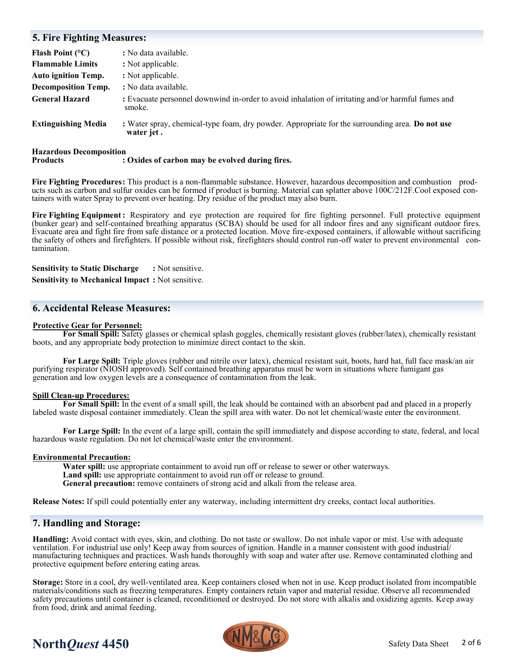## **5. Fire Fighting Measures: Flash Point (°C) :** No data available. **Flammable Limits : Not applicable. Auto ignition Temp.** : Not applicable. **Decomposition Temp. :** No data available. **General Hazard :** Evacuate personnel downwind in-order to avoid inhalation of irritating and/or harmful fumes and smoke. **Extinguishing Media :** Water spray, chemical-type foam, dry powder. Appropriate for the surrounding area. **Do not use water jet .**

## **Hazardous Decomposition Products extend to controller the evolved during fires. Products**

**Fire Fighting Procedures:** This product is a non-flammable substance. However, hazardous decomposition and combustion products such as carbon and sulfur oxides can be formed if product is burning. Material can splatter above 100C/212F.Cool exposed containers with water Spray to prevent over heating. Dry residue of the product may also burn.

**Fire Fighting Equipment:** Respiratory and eye protection are required for fire fighting personnel. Full protective equipment (bunker gear) and self-contained breathing apparatus (SCBA) should be used for all indoor fires and any significant outdoor fires. Evacuate area and fight fire from safe distance or a protected location. Move fire-exposed containers, if allowable without sacrificing the safety of others and firefighters. If possible without risk, firefighters should control run-off water to prevent environmental contamination.

**Sensitivity to Static Discharge :** Not sensitive.

**Sensitivity to Mechanical Impact :** Not sensitive.

## **6. Accidental Release Measures:**

#### **Protective Gear for Personnel:**

**For Small Spill:** Safety glasses or chemical splash goggles, chemically resistant gloves (rubber/latex), chemically resistant boots, and any appropriate body protection to minimize direct contact to the skin.

**For Large Spill:** Triple gloves (rubber and nitrile over latex), chemical resistant suit, boots, hard hat, full face mask/an air purifying respirator (NIOSH approved). Self contained breathing apparatus must be worn in situations where fumigant gas generation and low oxygen levels are a consequence of contamination from the leak.

#### **Spill Clean-up Procedures:**

**For Small Spill:** In the event of a small spill, the leak should be contained with an absorbent pad and placed in a properly labeled waste disposal container immediately. Clean the spill area with water. Do not let chemical/waste enter the environment.

**For Large Spill:** In the event of a large spill, contain the spill immediately and dispose according to state, federal, and local hazardous waste regulation. Do not let chemical/waste enter the environment.

#### **Environmental Precaution:**

**Water spill:** use appropriate containment to avoid run off or release to sewer or other waterways. Land spill: use appropriate containment to avoid run off or release to ground. **General precaution:** remove containers of strong acid and alkali from the release area.

**Release Notes:** If spill could potentially enter any waterway, including intermittent dry creeks, contact local authorities.

## **7. Handling and Storage:**

**Handling:** Avoid contact with eyes, skin, and clothing. Do not taste or swallow. Do not inhale vapor or mist. Use with adequate ventilation. For industrial use only! Keep away from sources of ignition. Handle in a manner consistent with good industrial/ manufacturing techniques and practices. Wash hands thoroughly with soap and water after use. Remove contaminated clothing and protective equipment before entering eating areas.

**Storage:** Store in a cool, dry well-ventilated area. Keep containers closed when not in use. Keep product isolated from incompatible materials/conditions such as freezing temperatures. Empty containers retain vapor and material residue. Observe all recommended safety precautions until container is cleaned, reconditioned or destroyed. Do not store with alkalis and oxidizing agents. Keep away from food, drink and animal feeding.



# **North***Quest* **4450** Safety Data Sheet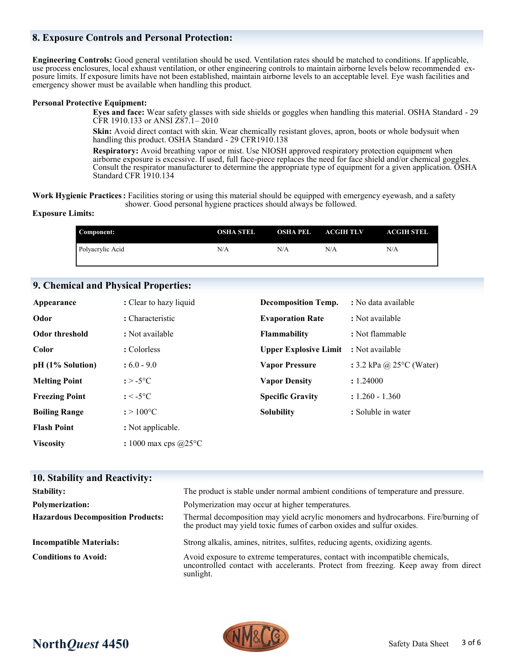## **8. Exposure Controls and Personal Protection:**

**Engineering Controls:** Good general ventilation should be used. Ventilation rates should be matched to conditions. If applicable, use process enclosures, local exhaust ventilation, or other engineering controls to maintain airborne levels below recommended exposure limits. If exposure limits have not been established, maintain airborne levels to an acceptable level. Eye wash facilities and emergency shower must be available when handling this product.

#### **Personal Protective Equipment:**

**Eyes and face:** Wear safety glasses with side shields or goggles when handling this material. OSHA Standard - 29 CFR 1910.133 or ANSI Z87.1– 2010

**Skin:** Avoid direct contact with skin. Wear chemically resistant gloves, apron, boots or whole bodysuit when handling this product. OSHA Standard - 29 CFR1910.138

**Respiratory:** Avoid breathing vapor or mist. Use NIOSH approved respiratory protection equipment when airborne exposure is excessive. If used, full face-piece replaces the need for face shield and/or chemical goggles. Consult the respirator manufacturer to determine the appropriate type of equipment for a given application. OSHA Standard CFR 1910.134

**Work Hygienic Practices:** Facilities storing or using this material should be equipped with emergency eyewash, and a safety shower. Good personal hygiene practices should always be followed.

#### **Exposure Limits:**

| Component:       | OSHA STEL | <b>OSHA PEL</b> | <b>ACGIH TLV</b> | <b>ACGIH STEL</b> |
|------------------|-----------|-----------------|------------------|-------------------|
| Polyacrylic Acid | N/A       | N/A             | N/A              | N/A               |

#### **9. Chemical and Physical Properties:**

| Appearance            | : Clear to hazy liquid | <b>Decomposition Temp.</b>   | : No data available                |
|-----------------------|------------------------|------------------------------|------------------------------------|
| Odor                  | : Characteristic       | <b>Evaporation Rate</b>      | : Not available                    |
| <b>Odor threshold</b> | : Not available        | <b>Flammability</b>          | : Not flammable                    |
| Color                 | : Colorless            | <b>Upper Explosive Limit</b> | : Not available                    |
| $pH (1%$ Solution)    | $:6.0 - 9.0$           | <b>Vapor Pressure</b>        | : 3.2 kPa @ $25^{\circ}$ C (Water) |
| <b>Melting Point</b>  | $: > -5$ °C            | <b>Vapor Density</b>         | : 1.24000                          |
| <b>Freezing Point</b> | $: < -5$ °C            | <b>Specific Gravity</b>      | $: 1.260 - 1.360$                  |
| <b>Boiling Range</b>  | $: > 100^{\circ}C$     | <b>Solubility</b>            | : Soluble in water                 |
| <b>Flash Point</b>    | : Not applicable.      |                              |                                    |
| <b>Viscosity</b>      | : 1000 max cps $@25°C$ |                              |                                    |

| 10. Stability and Reactivity:            |                                                                                                                                                                                  |
|------------------------------------------|----------------------------------------------------------------------------------------------------------------------------------------------------------------------------------|
| <b>Stability:</b>                        | The product is stable under normal ambient conditions of temperature and pressure.                                                                                               |
| <b>Polymerization:</b>                   | Polymerization may occur at higher temperatures.                                                                                                                                 |
| <b>Hazardous Decomposition Products:</b> | Thermal decomposition may yield acrylic monomers and hydrocarbons. Fire/burning of<br>the product may yield toxic fumes of carbon oxides and sulfur oxides.                      |
| <b>Incompatible Materials:</b>           | Strong alkalis, amines, nitrites, sulfites, reducing agents, oxidizing agents.                                                                                                   |
| <b>Conditions to Avoid:</b>              | Avoid exposure to extreme temperatures, contact with incompatible chemicals,<br>uncontrolled contact with accelerants. Protect from freezing. Keep away from direct<br>sunlight. |

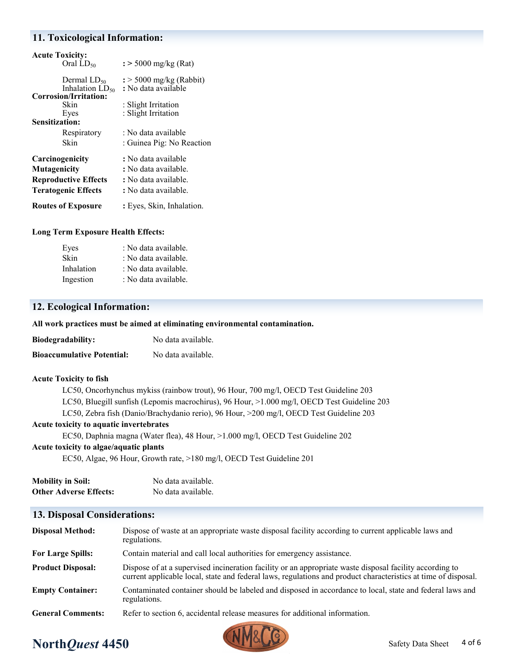## **11. Toxicological Information:**

| <b>Acute Toxicity:</b>      |                                     |
|-----------------------------|-------------------------------------|
| Oral $LD_{50}$              | $\frac{1}{2}$ > 5000 mg/kg (Rat)    |
|                             |                                     |
| Dermal $LD_{50}$            | $\frac{1}{2}$ > 5000 mg/kg (Rabbit) |
| Inhalation $LD_{50}$        | : No data available                 |
| Corrosion/Irritation:       |                                     |
| Skin                        | : Slight Irritation                 |
| Eyes                        | : Slight Irritation                 |
| <b>Sensitization:</b>       |                                     |
| Respiratory                 | : No data available                 |
| Skin                        | : Guinea Pig: No Reaction           |
| Carcinogenicity             | : No data available                 |
| <b>Mutagenicity</b>         | : No data available.                |
| <b>Reproductive Effects</b> | : No data available.                |
| <b>Teratogenic Effects</b>  | : No data available.                |
| <b>Routes of Exposure</b>   | : Eyes, Skin, Inhalation.           |

#### **Long Term Exposure Health Effects:**

| Eyes       | : No data available. |
|------------|----------------------|
| Skin       | : No data available. |
| Inhalation | : No data available. |
| Ingestion  | : No data available. |
|            |                      |

## **12. Ecological Information:**

**All work practices must be aimed at eliminating environmental contamination.** 

| <b>Biodegradability:</b>          | No data available. |
|-----------------------------------|--------------------|
| <b>Bioaccumulative Potential:</b> | No data available. |

#### **Acute Toxicity to fish**

LC50, Oncorhynchus mykiss (rainbow trout), 96 Hour, 700 mg/l, OECD Test Guideline 203 LC50, Bluegill sunfish (Lepomis macrochirus), 96 Hour, >1.000 mg/l, OECD Test Guideline 203 LC50, Zebra fish (Danio/Brachydanio rerio), 96 Hour, >200 mg/l, OECD Test Guideline 203

#### **Acute toxicity to aquatic invertebrates**

EC50, Daphnia magna (Water flea), 48 Hour, >1.000 mg/l, OECD Test Guideline 202

#### **Acute toxicity to algae/aquatic plants**

EC50, Algae, 96 Hour, Growth rate, >180 mg/l, OECD Test Guideline 201

| <b>Mobility in Soil:</b>      | No data available. |
|-------------------------------|--------------------|
| <b>Other Adverse Effects:</b> | No data available. |

## **13. Disposal Considerations:**

| <b>Disposal Method:</b>  | Dispose of waste at an appropriate waste disposal facility according to current applicable laws and<br>regulations.                                                                                                       |
|--------------------------|---------------------------------------------------------------------------------------------------------------------------------------------------------------------------------------------------------------------------|
| <b>For Large Spills:</b> | Contain material and call local authorities for emergency assistance.                                                                                                                                                     |
| <b>Product Disposal:</b> | Dispose of at a supervised incineration facility or an appropriate waste disposal facility according to<br>current applicable local, state and federal laws, regulations and product characteristics at time of disposal. |
| <b>Empty Container:</b>  | Contaminated container should be labeled and disposed in accordance to local, state and federal laws and<br>regulations.                                                                                                  |
| <b>General Comments:</b> | Refer to section 6, accidental release measures for additional information.                                                                                                                                               |

# **North***Quest* **4450** Safety Data Sheet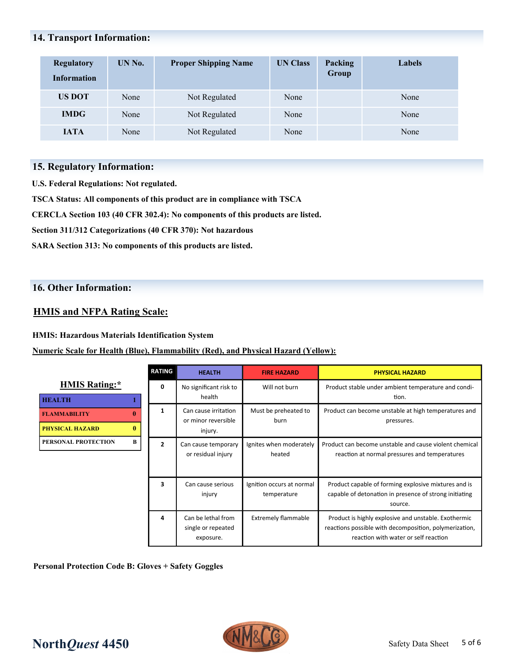## **14. Transport Information:**

| <b>Regulatory</b><br><b>Information</b> | UN No. | <b>Proper Shipping Name</b> | <b>UN Class</b> | Packing<br>Group | Labels |
|-----------------------------------------|--------|-----------------------------|-----------------|------------------|--------|
| <b>US DOT</b>                           | None   | Not Regulated               | None            |                  | None   |
| <b>IMDG</b>                             | None   | Not Regulated               | None            |                  | None   |
| <b>IATA</b>                             | None   | Not Regulated               | None            |                  | None   |

## **15. Regulatory Information:**

**U.S. Federal Regulations: Not regulated.**

**TSCA Status: All components of this product are in compliance with TSCA**

**CERCLA Section 103 (40 CFR 302.4): No components of this products are listed.**

**Section 311/312 Categorizations (40 CFR 370): Not hazardous**

**SARA Section 313: No components of this products are listed.** 

## **16. Other Information:**

## **HMIS and NFPA Rating Scale:**

## **HMIS: Hazardous Materials Identification System**

## **Numeric Scale for Health (Blue), Flammability (Red), and Physical Hazard (Yellow):**

|                                                                    | <b>RATING</b>  | <b>HEALTH</b>                                         | <b>FIRE HAZARD</b>                       | <b>PHYSICAL HAZARD</b>                                                                                                                                 |
|--------------------------------------------------------------------|----------------|-------------------------------------------------------|------------------------------------------|--------------------------------------------------------------------------------------------------------------------------------------------------------|
| <b>HMIS Rating:*</b>                                               | 0              | No significant risk to<br>health                      | Will not burn                            | Product stable under ambient temperature and condi-<br>tion.                                                                                           |
| <b>HEALTH</b>                                                      |                |                                                       |                                          |                                                                                                                                                        |
| 0<br><b>FLAMMABILITY</b><br>$\mathbf{0}$<br><b>PHYSICAL HAZARD</b> | 1              | Can cause irritation<br>or minor reversible           | Must be preheated to<br>burn             | Product can become unstable at high temperatures and<br>pressures.                                                                                     |
|                                                                    |                | injury.                                               |                                          |                                                                                                                                                        |
| B<br>PERSONAL PROTECTION                                           | $\overline{2}$ | Can cause temporary<br>or residual injury             | Ignites when moderately<br>heated        | Product can become unstable and cause violent chemical<br>reaction at normal pressures and temperatures                                                |
|                                                                    | 3              | Can cause serious<br>injury                           | Ignition occurs at normal<br>temperature | Product capable of forming explosive mixtures and is<br>capable of detonation in presence of strong initiating<br>source.                              |
|                                                                    | 4              | Can be lethal from<br>single or repeated<br>exposure. | <b>Extremely flammable</b>               | Product is highly explosive and unstable. Exothermic<br>reactions possible with decomposition, polymerization,<br>reaction with water or self reaction |

**Personal Protection Code B: Gloves + Safety Goggles**



# **North***Quest* **4450** Safety Data Sheet